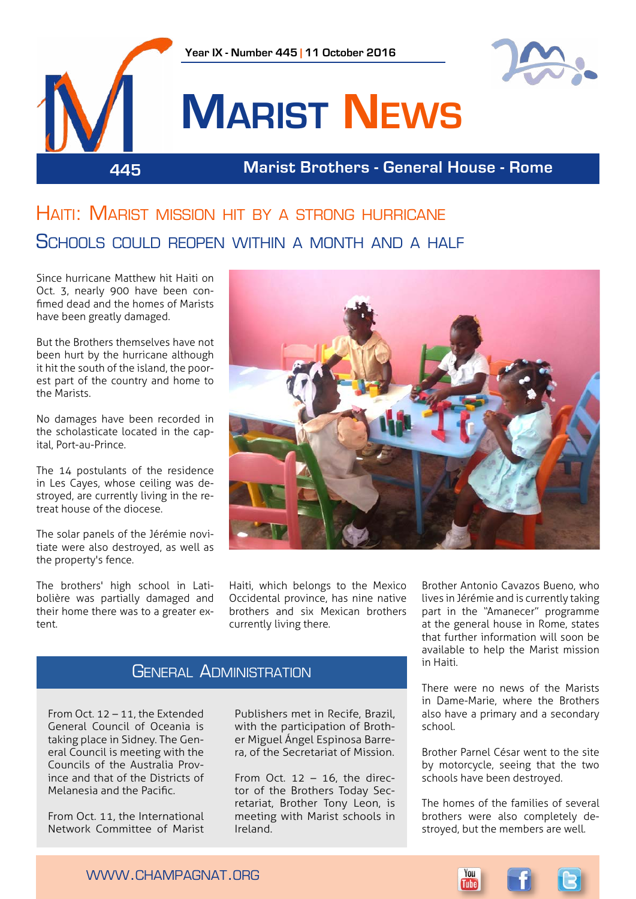

## Haiti: Marist mission hit by a strong hurricane Schools could reopen within a month and a half

Since hurricane Matthew hit Haiti on Oct. 3, nearly 900 have been confimed dead and the homes of Marists have been greatly damaged.

But the Brothers themselves have not been hurt by the hurricane although it hit the south of the island, the poorest part of the country and home to the Marists.

No damages have been recorded in the scholasticate located in the capital, Port-au-Prince.

The 14 postulants of the residence in Les Cayes, whose ceiling was destroyed, are currently living in the retreat house of the diocese.

The solar panels of the Jérémie novitiate were also destroyed, as well as the property's fence.

The brothers' high school in Latibolière was partially damaged and their home there was to a greater extent.



Haiti, which belongs to the Mexico Occidental province, has nine native brothers and six Mexican brothers currently living there.

## General Administration

From Oct. 12 – 11, the Extended General Council of Oceania is taking place in Sidney. The General Council is meeting with the Councils of the Australia Province and that of the Districts of Melanesia and the Pacific.

From Oct. 11, the International Network Committee of Marist Publishers met in Recife, Brazil, with the participation of Brother Miguel Ángel Espinosa Barrera, of the Secretariat of Mission.

From Oct.  $12 - 16$ , the director of the Brothers Today Secretariat, Brother Tony Leon, is meeting with Marist schools in Ireland.

Brother Antonio Cavazos Bueno, who lives in Jérémie and is currently taking part in the "Amanecer" programme at the general house in Rome, states that further information will soon be available to help the Marist mission in Haiti.

There were no news of the Marists in Dame-Marie, where the Brothers also have a primary and a secondary school.

Brother Parnel César went to the site by motorcycle, seeing that the two schools have been destroyed.

The homes of the families of several brothers were also completely destroyed, but the members are well.

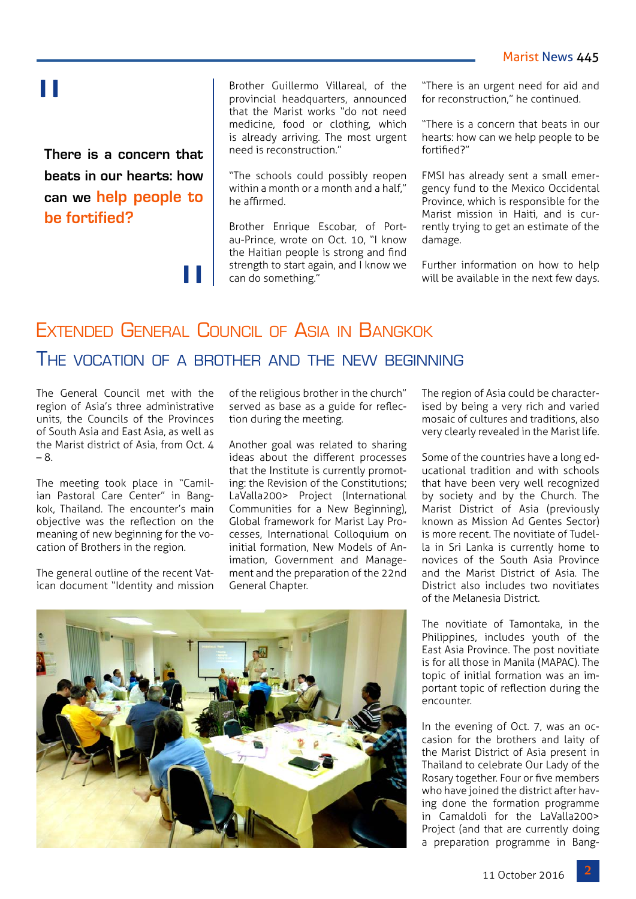#### Marist News 445

# "

**There is a concern that beats in our hearts: how can we help people to be fortified?**

"<br>"

Brother Guillermo Villareal, of the provincial headquarters, announced that the Marist works "do not need medicine, food or clothing, which is already arriving. The most urgent need is reconstruction."

"The schools could possibly reopen within a month or a month and a half," he affirmed.

Brother Enrique Escobar, of Portau-Prince, wrote on Oct. 10, "I know the Haitian people is strong and find strength to start again, and I know we can do something."

"There is an urgent need for aid and for reconstruction," he continued.

"There is a concern that beats in our hearts: how can we help people to be fortified?"

FMSI has already sent a small emergency fund to the Mexico Occidental Province, which is responsible for the Marist mission in Haiti, and is currently trying to get an estimate of the damage.

Further information on how to help will be available in the next few days.

# Extended General Council of Asia in Bangkok The vocation of a brother and the new beginning

The General Council met with the region of Asia's three administrative units, the Councils of the Provinces of South Asia and East Asia, as well as the Marist district of Asia, from Oct. 4 – 8.

The meeting took place in "Camilian Pastoral Care Center" in Bangkok, Thailand. The encounter's main objective was the reflection on the meaning of new beginning for the vocation of Brothers in the region.

The general outline of the recent Vatican document "Identity and mission of the religious brother in the church" served as base as a guide for reflection during the meeting.

Another goal was related to sharing ideas about the different processes that the Institute is currently promoting: the Revision of the Constitutions; LaValla200> Project (International Communities for a New Beginning), Global framework for Marist Lay Processes, International Colloquium on initial formation, New Models of Animation, Government and Management and the preparation of the 22nd General Chapter.

The region of Asia could be characterised by being a very rich and varied mosaic of cultures and traditions, also very clearly revealed in the Marist life.

Some of the countries have a long educational tradition and with schools that have been very well recognized by society and by the Church. The Marist District of Asia (previously known as Mission Ad Gentes Sector) is more recent. The novitiate of Tudella in Sri Lanka is currently home to novices of the South Asia Province and the Marist District of Asia. The District also includes two novitiates of the Melanesia District.

The novitiate of Tamontaka, in the Philippines, includes youth of the East Asia Province. The post novitiate is for all those in Manila (MAPAC). The topic of initial formation was an important topic of reflection during the encounter.

In the evening of Oct. 7, was an occasion for the brothers and laity of the Marist District of Asia present in Thailand to celebrate Our Lady of the Rosary together. Four or five members who have joined the district after having done the formation programme in Camaldoli for the LaValla200> Project (and that are currently doing a preparation programme in Bang-

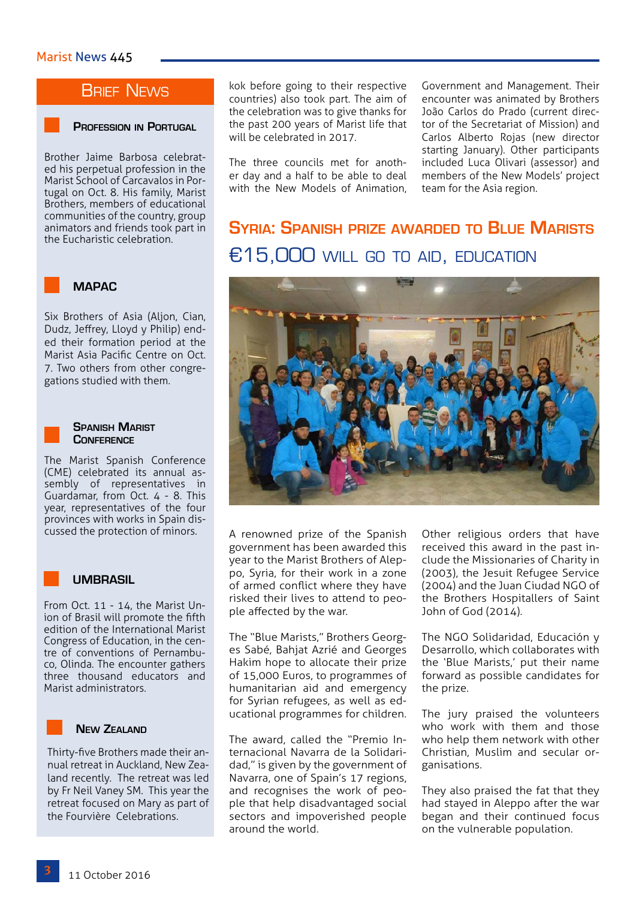## **BRIEF NEWS**

#### **Profession in Portugal**

Brother Jaime Barbosa celebrated his perpetual profession in the Marist School of Carcavalos in Portugal on Oct. 8. His family, Marist Brothers, members of educational communities of the country, group animators and friends took part in the Eucharistic celebration.



Six Brothers of Asia (Aljon, Cian, Dudz, Jeffrey, Lloyd y Philip) ended their formation period at the Marist Asia Pacific Centre on Oct. 7. Two others from other congregations studied with them.



#### **Spanish Marist Conference**

The Marist Spanish Conference (CME) celebrated its annual assembly of representatives in Guardamar, from Oct. 4 - 8. This year, representatives of the four provinces with works in Spain discussed the protection of minors.

#### **UMBRASIL**

From Oct. 11 - 14, the Marist Union of Brasil will promote the fifth edition of the International Marist Congress of Education, in the centre of conventions of Pernambuco, Olinda. The encounter gathers three thousand educators and Marist administrators.



#### **New Zealand**

Thirty-five Brothers made their annual retreat in Auckland, New Zealand recently. The retreat was led by Fr Neil Vaney SM. This year the retreat focused on Mary as part of the Fourvière Celebrations.

kok before going to their respective countries) also took part. The aim of the celebration was to give thanks for the past 200 years of Marist life that will be celebrated in 2017.

The three councils met for another day and a half to be able to deal with the New Models of Animation,

Government and Management. Their encounter was animated by Brothers João Carlos do Prado (current director of the Secretariat of Mission) and Carlos Alberto Rojas (new director starting January). Other participants included Luca Olivari (assessor) and members of the New Models' project team for the Asia region.

**Syria: Spanish prize awarded to Blue Marists** €15,000 will go to AID, EDUCATION



A renowned prize of the Spanish government has been awarded this year to the Marist Brothers of Aleppo, Syria, for their work in a zone of armed conflict where they have risked their lives to attend to people affected by the war.

The "Blue Marists," Brothers Georges Sabé, Bahjat Azrié and Georges Hakim hope to allocate their prize of 15,000 Euros, to programmes of humanitarian aid and emergency for Syrian refugees, as well as educational programmes for children.

The award, called the "Premio Internacional Navarra de la Solidaridad," is given by the government of Navarra, one of Spain's 17 regions, and recognises the work of people that help disadvantaged social sectors and impoverished people around the world.

Other religious orders that have received this award in the past include the Missionaries of Charity in (2003), the Jesuit Refugee Service (2004) and the Juan Ciudad NGO of the Brothers Hospitallers of Saint John of God (2014).

The NGO Solidaridad, Educación y Desarrollo, which collaborates with the 'Blue Marists,' put their name forward as possible candidates for the prize.

The jury praised the volunteers who work with them and those who help them network with other Christian, Muslim and secular organisations.

They also praised the fat that they had stayed in Aleppo after the war began and their continued focus on the vulnerable population.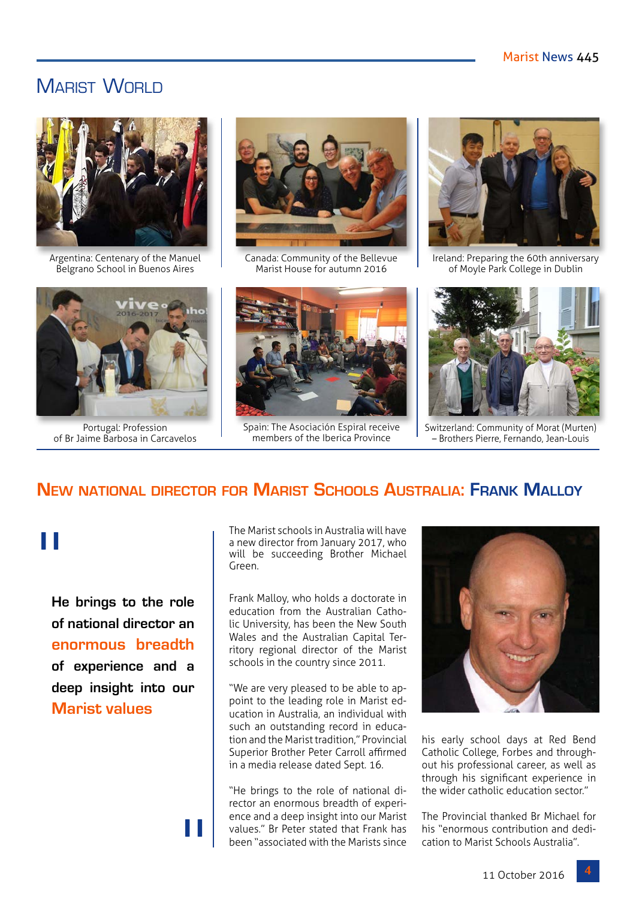## MARIST WORLD



Argentina: Centenary of the Manuel Belgrano School in Buenos Aires



Portugal: Profession of Br Jaime Barbosa in Carcavelos



Canada: Community of the Bellevue Marist House for autumn 2016



Spain: The Asociación Espiral receive members of the Iberica Province



Ireland: Preparing the 60th anniversary of Moyle Park College in Dublin



Switzerland: Community of Morat (Murten) – Brothers Pierre, Fernando, Jean-Louis

## **New national director for Marist Schools Australia: Frank Malloy**

# "

**He brings to the role of national director an enormous breadth of experience and a deep insight into our Marist values**

"

The Marist schools in Australia will have a new director from January 2017, who will be succeeding Brother Michael Green.

Frank Malloy, who holds a doctorate in education from the Australian Catholic University, has been the New South Wales and the Australian Capital Territory regional director of the Marist schools in the country since 2011.

"We are very pleased to be able to appoint to the leading role in Marist education in Australia, an individual with such an outstanding record in education and the Marist tradition," Provincial Superior Brother Peter Carroll affirmed in a media release dated Sept. 16.

"He brings to the role of national director an enormous breadth of experience and a deep insight into our Marist values." Br Peter stated that Frank has been "associated with the Marists since



his early school days at Red Bend Catholic College, Forbes and throughout his professional career, as well as through his significant experience in the wider catholic education sector."

The Provincial thanked Br Michael for his "enormous contribution and dedication to Marist Schools Australia".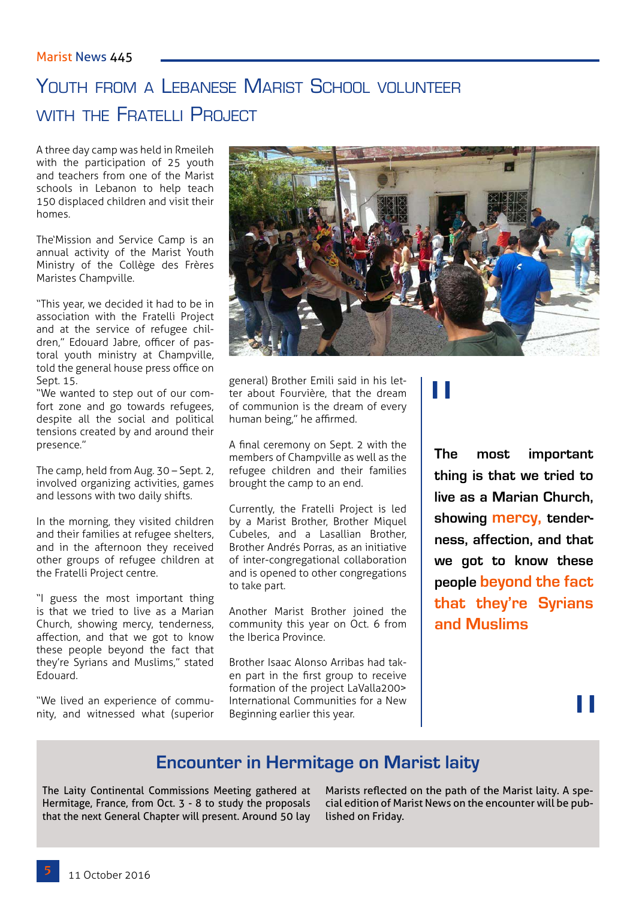# YOUTH FROM A LEBANESE MARIST SCHOOL VOLUNTEER WITH THE FRATELLI PROJECT

A three day camp was held in Rmeileh with the participation of 25 youth and teachers from one of the Marist schools in Lebanon to help teach 150 displaced children and visit their homes.

The'Mission and Service Camp is an annual activity of the Marist Youth Ministry of the Collège des Frères Maristes Champville.

"This year, we decided it had to be in association with the Fratelli Project and at the service of refugee children," Edouard Jabre, officer of pastoral youth ministry at Champville, told the general house press office on Sept. 15.

"We wanted to step out of our comfort zone and go towards refugees, despite all the social and political tensions created by and around their presence."

The camp, held from Aug. 30 – Sept. 2, involved organizing activities, games and lessons with two daily shifts.

In the morning, they visited children and their families at refugee shelters, and in the afternoon they received other groups of refugee children at the Fratelli Project centre.

"I guess the most important thing is that we tried to live as a Marian Church, showing mercy, tenderness, affection, and that we got to know these people beyond the fact that they're Syrians and Muslims," stated Edouard.

"We lived an experience of community, and witnessed what (superior



general) Brother Emili said in his letter about Fourvière, that the dream of communion is the dream of every human being," he affirmed.

A final ceremony on Sept. 2 with the members of Champville as well as the refugee children and their families brought the camp to an end.

Currently, the Fratelli Project is led by a Marist Brother, Brother Miquel Cubeles, and a Lasallian Brother, Brother Andrés Porras, as an initiative of inter-congregational collaboration and is opened to other congregations to take part.

Another Marist Brother joined the community this year on Oct. 6 from the Iberica Province.

Brother Isaac Alonso Arribas had taken part in the first group to receive formation of the project LaValla200> International Communities for a New Beginning earlier this year.

# "

**The most important thing is that we tried to live as a Marian Church, showing mercy, tenderness, affection, and that we got to know these people beyond the fact that they're Syrians and Muslims** 

# "

## **Encounter in Hermitage on Marist laity**

The Laity Continental Commissions Meeting gathered at Hermitage, France, from Oct. 3 - 8 to study the proposals that the next General Chapter will present. Around 50 lay Marists reflected on the path of the Marist laity. A special edition of Marist News on the encounter will be published on Friday.